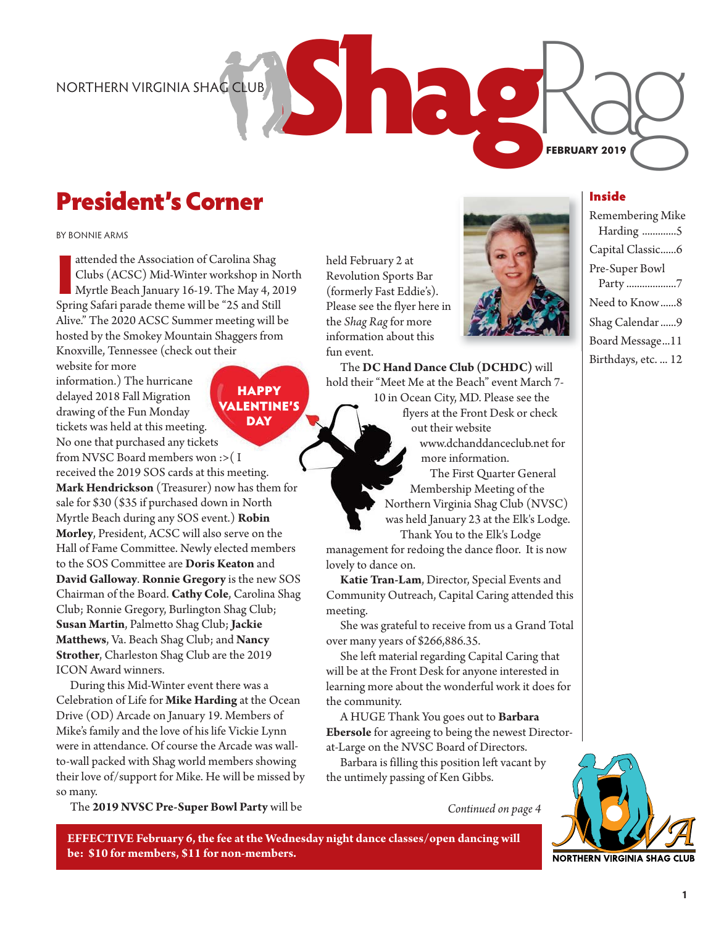# President's Corner

BY BONNIE ARMS

attended the Association of Carolina Shag<br>Clubs (ACSC) Mid-Winter workshop in N<br>Myrtle Beach January 16-19. The May 4, 20<br>Spring Safari parade theme will be "25 and Still attended the Association of Carolina Shag Clubs (ACSC) Mid-Winter workshop in North Myrtle Beach January 16-19. The May 4, 2019 Alive." The 2020 ACSC Summer meeting will be hosted by the Smokey Mountain Shaggers from Knoxville, Tennessee (check out their

website for more information.) The hurricane delayed 2018 Fall Migration drawing of the Fun Monday tickets was held at this meeting. No one that purchased any tickets from NVSC Board members won :>( I received the 2019 SOS cards at this meeting. **Mark Hendrickson** (Treasurer) now has them for sale for \$30 (\$35 if purchased down in North Myrtle Beach during any SOS event.) **Robin Morley**, President, ACSC will also serve on the Hall of Fame Committee. Newly elected members to the SOS Committee are **Doris Keaton** and **David Galloway**. **Ronnie Gregory** is the new SOS Chairman of the Board. **Cathy Cole**, Carolina Shag Club; Ronnie Gregory, Burlington Shag Club; **Susan Martin**, Palmetto Shag Club; **Jackie Matthews**, Va. Beach Shag Club; and **Nancy Strother**, Charleston Shag Club are the 2019 ICON Award winners. **HAPPY** VALENTINE'S **DAY** 

During this Mid-Winter event there was a Celebration of Life for **Mike Harding** at the Ocean Drive (OD) Arcade on January 19. Members of Mike's family and the love of his life Vickie Lynn were in attendance. Of course the Arcade was wallto-wall packed with Shag world members showing their love of/support for Mike. He will be missed by so many.

The **2019 NVSC Pre-Super Bowl Party** will be

**be: \$10 for members, \$11 for non-members.**

**EFFECTIVE February 6, the fee at the Wednesday night dance classes/open dancing will**

held February 2 at Revolution Sports Bar (formerly Fast Eddie's). Please see the flyer here in the *Shag Rag*for more information about this fun event.



The **DC Hand Dance Club (DCHDC)** will hold their "Meet Me at the Beach" event March 7- 10 in Ocean City, MD. Please see the flyers at the Front Desk or check

out their website www.dchanddanceclub.net for more information.

The First Quarter General Membership Meeting of the Northern Virginia Shag Club (NVSC) was held January 23 at the Elk's Lodge. Thank You to the Elk's Lodge

management for redoing the dance floor. It is now lovely to dance on.

**Katie Tran-Lam**, Director, Special Events and Community Outreach, Capital Caring attended this meeting.

She was grateful to receive from us a Grand Total over many years of \$266,886.35.

She left material regarding Capital Caring that will be at the Front Desk for anyone interested in learning more about the wonderful work it does for the community.

A HUGE Thank You goes out to **Barbara Ebersole** for agreeing to being the newest Directorat-Large on the NVSC Board of Directors.

Barbara is filling this position left vacant by the untimely passing of Ken Gibbs.

*Continued on page 4*



Harding .............5 Capital Classic......6 Pre-Super Bowl Party ...................7 Need to Know ......8

Remembering Mike

**FEBRUARY 2019**

Inside

Shag Calendar ......9 Board Message...11 Birthdays, etc. ... 12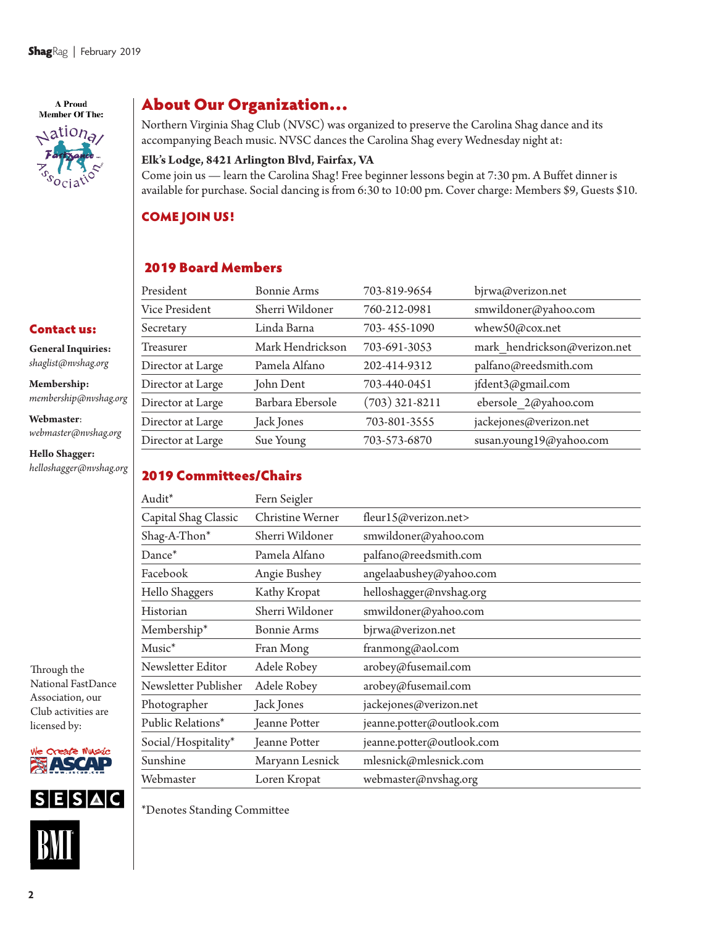A Proud **Member Of The:**  $\triangle$ ation<sub>a</sub>

Contact us: **General Inquiries:**  *shaglist@nvshag.org* **Membership:**

**Webmaster**:

**Hello Shagger:** *helloshagger@nvshag.org*

*membership@nvshag.org*

*webmaster@nvshag.org*

### About Our Organization…

Northern Virginia Shag Club (NVSC) was organized to preserve the Carolina Shag dance and its accompanying Beach music. NVSC dances the Carolina Shag every Wednesday night at:

#### **Elk's Lodge, 8421 Arlington Blvd, Fairfax, VA**

Come join us — learn the Carolina Shag! Free beginner lessons begin at 7:30 pm. A Buffet dinner is available for purchase. Social dancing is from 6:30 to 10:00 pm. Cover charge: Members \$9, Guests \$10.

#### COME JOIN US!

### 2019 Board Members

| President         | <b>Bonnie Arms</b> | 703-819-9654     | bjrwa@verizon.net            |
|-------------------|--------------------|------------------|------------------------------|
| Vice President    | Sherri Wildoner    | 760-212-0981     | smwildoner@yahoo.com         |
| Secretary         | Linda Barna        | 703-455-1090     | whew50@cox.net               |
| Treasurer         | Mark Hendrickson   | 703-691-3053     | mark hendrickson@verizon.net |
| Director at Large | Pamela Alfano      | 202-414-9312     | palfano@reedsmith.com        |
| Director at Large | John Dent          | 703-440-0451     | jfdent3@gmail.com            |
| Director at Large | Barbara Ebersole   | $(703)$ 321-8211 | ebersole 2@yahoo.com         |
| Director at Large | Jack Jones         | 703-801-3555     | jackejones@verizon.net       |
| Director at Large | Sue Young          | 703-573-6870     | susan.young19@yahoo.com      |
|                   |                    |                  |                              |

#### 2019 Committees/Chairs

| Audit*               | Fern Seigler       |                           |
|----------------------|--------------------|---------------------------|
| Capital Shag Classic | Christine Werner   | fleur15@verizon.net>      |
| Shag-A-Thon*         | Sherri Wildoner    | smwildoner@yahoo.com      |
| Dance*               | Pamela Alfano      | palfano@reedsmith.com     |
| Facebook             | Angie Bushey       | angelaabushey@yahoo.com   |
| Hello Shaggers       | Kathy Kropat       | helloshagger@nvshag.org   |
| Historian            | Sherri Wildoner    | smwildoner@yahoo.com      |
| Membership*          | <b>Bonnie Arms</b> | bjrwa@verizon.net         |
| Music <sup>*</sup>   | Fran Mong          | franmong@aol.com          |
| Newsletter Editor    | Adele Robey        | arobey@fusemail.com       |
| Newsletter Publisher | Adele Robey        | arobey@fusemail.com       |
| Photographer         | Jack Jones         | jackejones@verizon.net    |
| Public Relations*    | Jeanne Potter      | jeanne.potter@outlook.com |
| Social/Hospitality*  | Jeanne Potter      | jeanne.potter@outlook.com |
| Sunshine             | Maryann Lesnick    | mlesnick@mlesnick.com     |
| Webmaster            | Loren Kropat       | webmaster@nvshag.org      |

Through the National FastDance Association, our Club activities are licensed by:





\*Denotes Standing Committee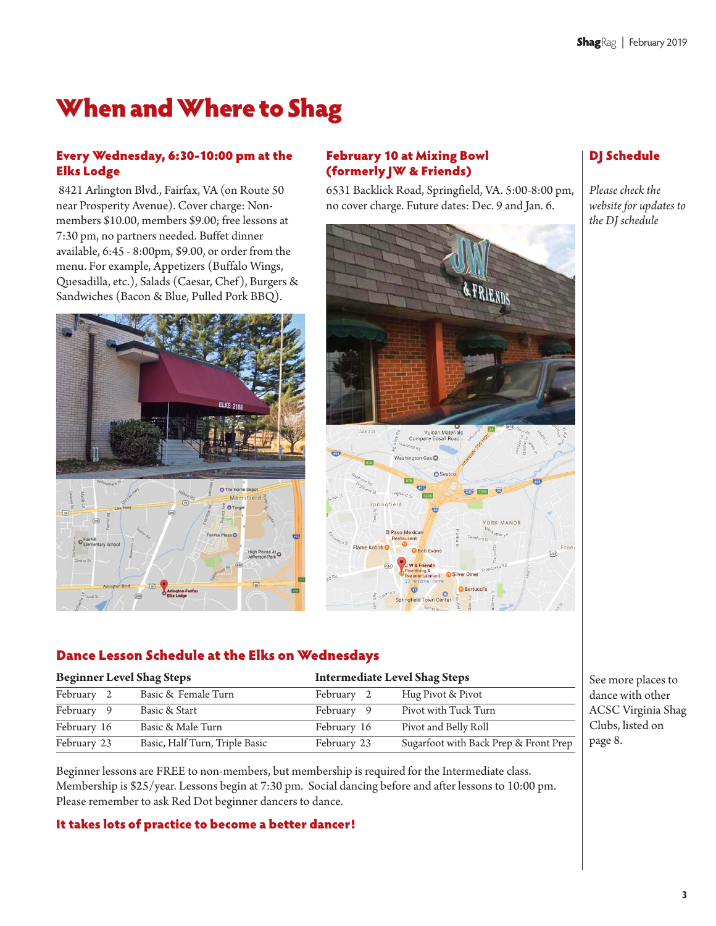# When and Where to Shag

#### Every Wednesday, 6:30-10:00 pm at the Elks Lodge

8421 Arlington Blvd., Fairfax, VA (on Route 50 near Prosperity Avenue). Cover charge: Nonmembers \$10.00, members \$9.00; free lessons at 7:30 pm, no partners needed. Buffet dinner available, 6:45 - 8:00pm, \$9.00, or order from the menu. For example, Appetizers (Buffalo Wings, Quesadilla, etc.), Salads (Caesar, Chef), Burgers & Sandwiches (Bacon & Blue, Pulled Pork BBQ).



#### February 10 at Mixing Bowl (formerly JW & Friends)

6531 Backlick Road, Springfield, VA. 5:00-8:00 pm, no cover charge. Future dates: Dec. 9 and Jan. 6.



### DJ Schedule

*Please check the website for updates to the DJ schedule* 

#### Dance Lesson Schedule at the Elks on Wednesdays

| <b>Beginner Level Shag Steps</b> |  | <b>Intermediate Level Shag Steps</b> |             |                                       |
|----------------------------------|--|--------------------------------------|-------------|---------------------------------------|
| February 2                       |  | Basic & Female Turn                  | February 2  | Hug Pivot & Pivot                     |
| February 9                       |  | Basic & Start                        | February 9  | Pivot with Tuck Turn                  |
| February 16                      |  | Basic & Male Turn                    | February 16 | Pivot and Belly Roll                  |
| February 23                      |  | Basic, Half Turn, Triple Basic       | February 23 | Sugarfoot with Back Prep & Front Prep |

See more places to dance with other ACSC Virginia Shag Clubs, listed on page 8.

Beginner lessons are FREE to non-members, but membership is required for the Intermediate class. Membership is \$25/year. Lessons begin at 7:30 pm. Social dancing before and after lessons to 10:00 pm. Please remember to ask Red Dot beginner dancers to dance.

#### It takes lots of practice to become a better dancer!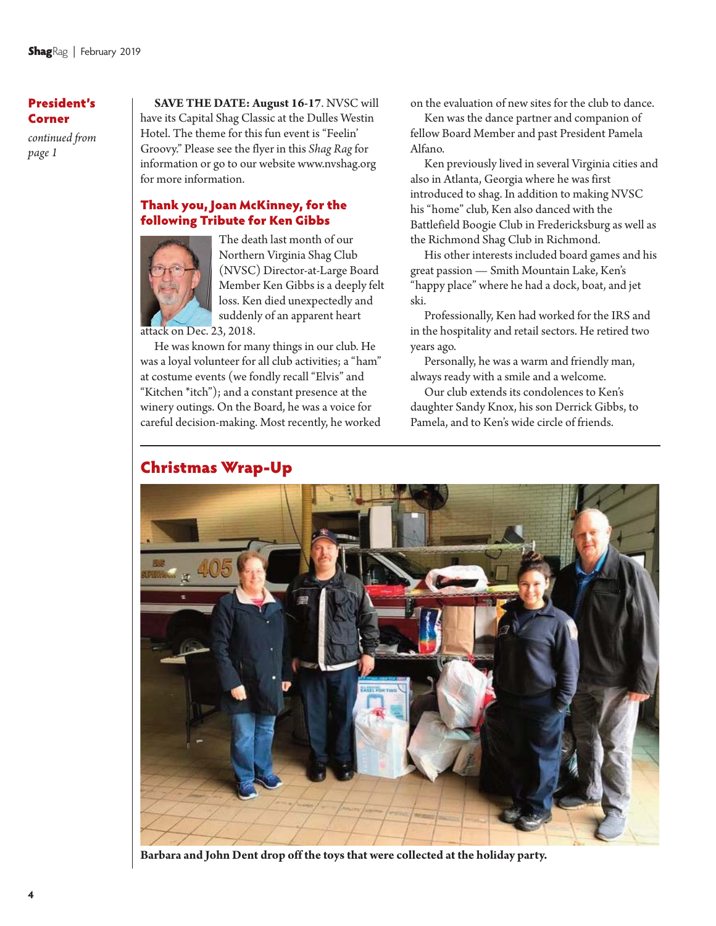#### President's Corner

*continued from page 1*

**SAVE THE DATE: August 16-17**. NVSC will have its Capital Shag Classic at the Dulles Westin Hotel. The theme for this fun event is "Feelin' Groovy." Please see the flyer in this *Shag Rag*for information or go to our website www.nvshag.org for more information.

#### Thank you, Joan McKinney, for the following Tribute for Ken Gibbs



The death last month of our Northern Virginia Shag Club (NVSC) Director-at-Large Board Member Ken Gibbs is a deeply felt loss. Ken died unexpectedly and suddenly of an apparent heart

attack on Dec. 23, 2018.

He was known for many things in our club. He was a loyal volunteer for all club activities; a "ham" at costume events (we fondly recall "Elvis" and "Kitchen \*itch"); and a constant presence at the winery outings. On the Board, he was a voice for careful decision-making. Most recently, he worked on the evaluation of new sites for the club to dance.

Ken was the dance partner and companion of fellow Board Member and past President Pamela Alfano.

Ken previously lived in several Virginia cities and also in Atlanta, Georgia where he was first introduced to shag. In addition to making NVSC his "home" club, Ken also danced with the Battlefield Boogie Club in Fredericksburg as well as the Richmond Shag Club in Richmond.

His other interests included board games and his great passion — Smith Mountain Lake, Ken's "happy place" where he had a dock, boat, and jet ski.

Professionally, Ken had worked for the IRS and in the hospitality and retail sectors. He retired two years ago.

Personally, he was a warm and friendly man, always ready with a smile and a welcome.

Our club extends its condolences to Ken's daughter Sandy Knox, his son Derrick Gibbs, to Pamela, and to Ken's wide circle of friends.



**Barbara and John Dent drop off the toys that were collected at the holiday party.**

### Christmas Wrap-Up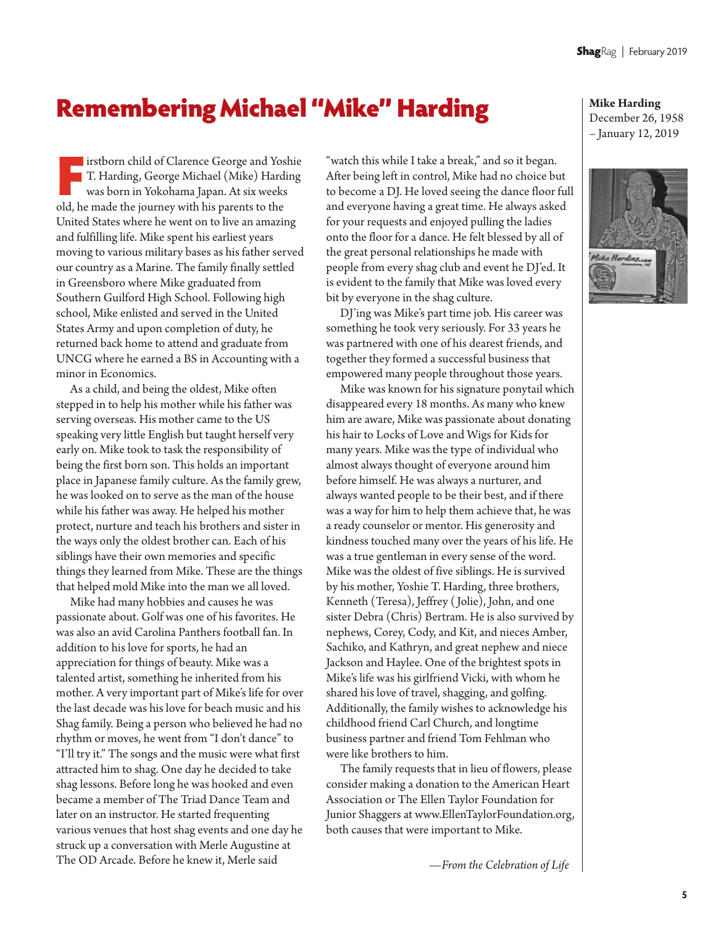# Remembering Michael "Mike" Harding

**I** irstborn child of Clarence George and Yoshie T. Harding, George Michael (Mike) Harding was born in Yokohama Japan. At six weeks old, he made the journey with his parents to the United States where he went on to live an amazing and fulfilling life. Mike spent his earliest years moving to various military bases as his father served our country as a Marine. The family finally settled in Greensboro where Mike graduated from Southern Guilford High School. Following high school, Mike enlisted and served in the United States Army and upon completion of duty, he returned back home to attend and graduate from UNCG where he earned a BS in Accounting with a minor in Economics.

As a child, and being the oldest, Mike often stepped in to help his mother while his father was serving overseas. His mother came to the US speaking very little English but taught herself very early on. Mike took to task the responsibility of being the first born son. This holds an important place in Japanese family culture. As the family grew, he was looked on to serve as the man of the house while his father was away. He helped his mother protect, nurture and teach his brothers and sister in the ways only the oldest brother can. Each of his siblings have their own memories and specific things they learned from Mike. These are the things that helped mold Mike into the man we all loved.

Mike had many hobbies and causes he was passionate about. Golf was one of his favorites. He was also an avid Carolina Panthers football fan. In addition to his love for sports, he had an appreciation for things of beauty. Mike was a talented artist, something he inherited from his mother. A very important part of Mike's life for over the last decade was his love for beach music and his Shag family. Being a person who believed he had no rhythm or moves, he went from "I don't dance" to "I'll try it." The songs and the music were what first attracted him to shag. One day he decided to take shag lessons. Before long he was hooked and even became a member of The Triad Dance Team and later on an instructor. He started frequenting various venues that host shag events and one day he struck up a conversation with Merle Augustine at The OD Arcade. Before he knew it, Merle said

"watch this while I take a break," and so it began. After being left in control, Mike had no choice but to become a DJ. He loved seeing the dance floor full and everyone having a great time. He always asked for your requests and enjoyed pulling the ladies onto the floor for a dance. He felt blessed by all of the great personal relationships he made with people from every shag club and event he DJ'ed. It is evident to the family that Mike was loved every bit by everyone in the shag culture.

DJ'ing was Mike's part time job. His career was something he took very seriously. For 33 years he was partnered with one of his dearest friends, and together they formed a successful business that empowered many people throughout those years.

Mike was known for his signature ponytail which disappeared every 18 months. As many who knew him are aware, Mike was passionate about donating his hair to Locks of Love and Wigs for Kids for many years. Mike was the type of individual who almost always thought of everyone around him before himself. He was always a nurturer, and always wanted people to be their best, and if there was a way for him to help them achieve that, he was a ready counselor or mentor. His generosity and kindness touched many over the years of his life. He was a true gentleman in every sense of the word. Mike was the oldest of five siblings. He is survived by his mother, Yoshie T. Harding, three brothers, Kenneth (Teresa), Jeffrey ( Jolie), John, and one sister Debra (Chris) Bertram. He is also survived by nephews, Corey, Cody, and Kit, and nieces Amber, Sachiko, and Kathryn, and great nephew and niece Jackson and Haylee. One of the brightest spots in Mike's life was his girlfriend Vicki, with whom he shared his love of travel, shagging, and golfing. Additionally, the family wishes to acknowledge his childhood friend Carl Church, and longtime business partner and friend Tom Fehlman who were like brothers to him.

The family requests that in lieu of flowers, please consider making a donation to the American Heart Association or The Ellen Taylor Foundation for Junior Shaggers at www.EllenTaylorFoundation.org, both causes that were important to Mike.

*—From the Celebration of Life*

**Mike Harding**

December 26, 1958 – January 12, 2019

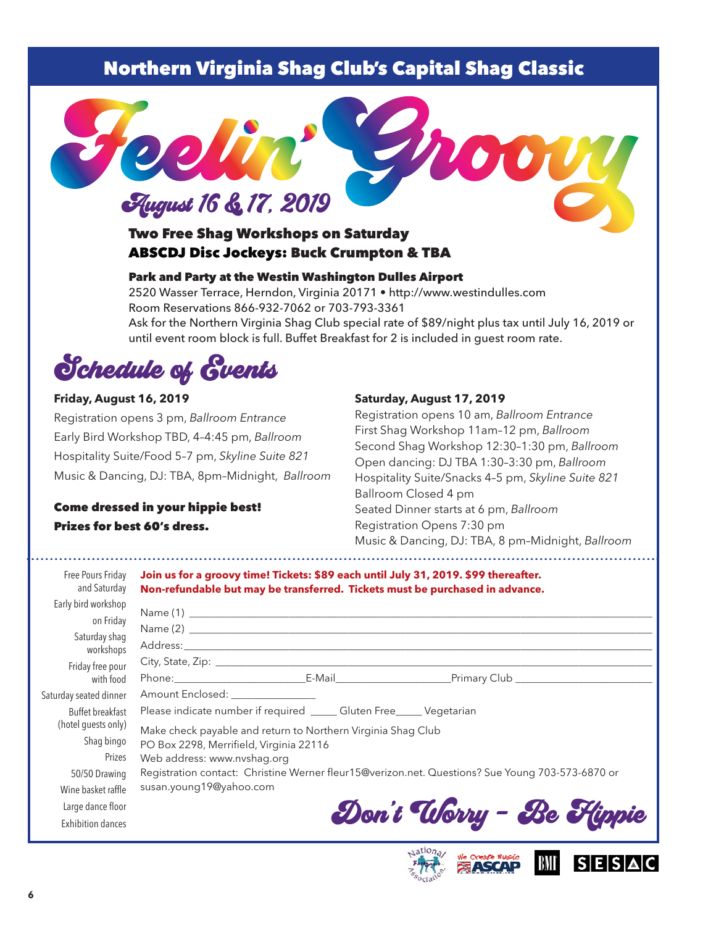## Northern Virginia Shag Club's Capital Shag Classic



### Two Free Shag Workshops on Saturday ABSCDJ Disc Jockeys: Buck Crumpton & TBA

#### Park and Party at the Westin Washington Dulles Airport

2520 Wasser Terrace, Herndon, Virginia 20171 • http://www.westindulles.com Room Reservations 866-932-7062 or 703-793-3361 Ask for the Northern Virginia Shag Club special rate of \$89/night plus tax until July 16, 2019 or until event room block is full. Buffet Breakfast for 2 is included in guest room rate.

Schedule of Events

#### **Friday, August 16, 2019**

Registration opens 3 pm, *Ballroom Entrance* Early Bird Workshop TBD, 4–4:45 pm, *Ballroom* Hospitality Suite/Food 5–7 pm, *Skyline Suite 821* Music & Dancing, DJ: TBA, 8pm–Midnight, *Ballroom*

#### Come dressed in your hippie best! Prizes for best 60's dress.

#### **Saturday, August 17, 2019**

Registration opens 10 am, *Ballroom Entrance* First Shag Workshop 11am –12 pm, *Ballroom* Second Shag Workshop 12:30–1:30 pm, *Ballroom* Open dancing: DJ TBA 1:30–3:30 pm, *Ballroom* Hospitality Suite/Snacks 4–5 pm, *Skyline Suite 821* Ballroom Closed 4 pm Seated Dinner starts at 6 pm, *Ballroom* Registration Opens 7:30 pm Music & Dancing, DJ: TBA, 8 pm–Midnight, *Ballroom*

**SESAC** 

| Free Pours Friday<br>and Saturday                               | Join us for a groovy time! Tickets: \$89 each until July 31, 2019. \$99 thereafter.<br>Non-refundable but may be transferred. Tickets must be purchased in advance.                                            |                                                                                                  |
|-----------------------------------------------------------------|----------------------------------------------------------------------------------------------------------------------------------------------------------------------------------------------------------------|--------------------------------------------------------------------------------------------------|
| Early bird workshop<br>on Friday<br>Saturday shaq<br>workshops  |                                                                                                                                                                                                                |                                                                                                  |
| Friday free pour<br>with food                                   |                                                                                                                                                                                                                |                                                                                                  |
| Saturday seated dinner                                          | Amount Enclosed: _______________                                                                                                                                                                               |                                                                                                  |
| Buffet breakfast<br>(hotel guests only)<br>Shag bingo<br>Prizes | Please indicate number if required _____ Gluten Free_____ Vegetarian<br>Make check payable and return to Northern Virginia Shag Club<br>PO Box 2298, Merrifield, Virginia 22116<br>Web address: www.nvshag.org |                                                                                                  |
| 50/50 Drawing<br>Wine basket raffle                             | susan.young19@yahoo.com                                                                                                                                                                                        | Registration contact: Christine Werner fleur15@verizon.net. Questions? Sue Young 703-573-6870 or |
| Large dance floor<br><b>Exhibition dances</b>                   |                                                                                                                                                                                                                | Don't Worry - Be Flippie                                                                         |

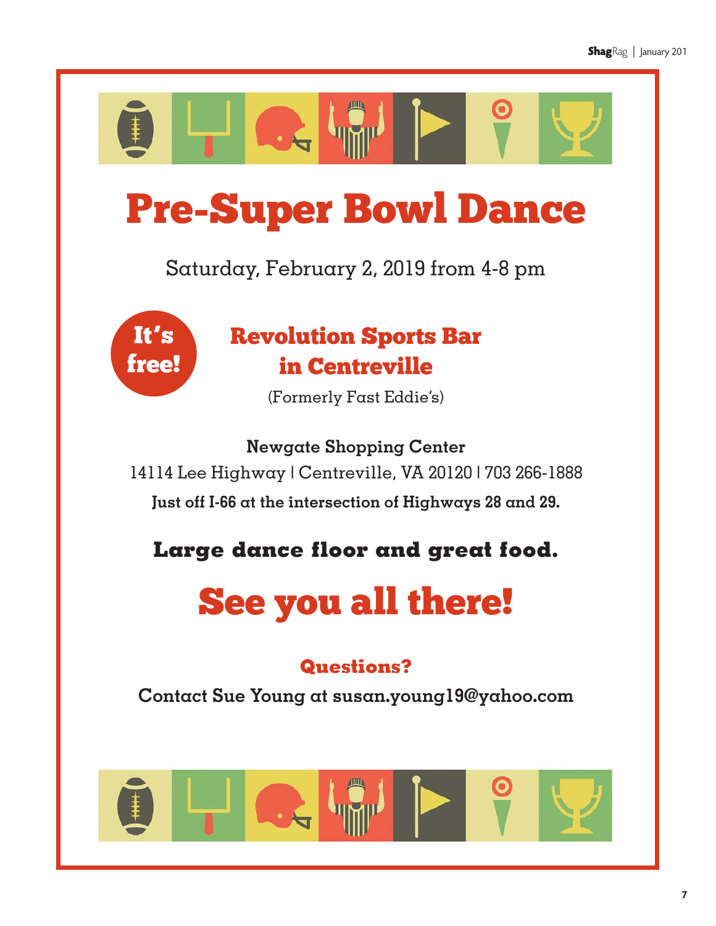

# Pre-Super Bowl Dance

Saturday, February 2, 2019 from 4-8 pm



# Revolution Sports Bar in Centreville

(Formerly Fast Eddie's)

**Newgate Shopping Center** 14114 Lee Highway | Centreville, VA 20120 | 703 266-1888 **Just off I-66 at the intersection of Highways 28 and 29.** 

**Large dance floor and great food.** 

# See you all there!

# **Questions?**

**Contact Sue Young at susan.young19@yahoo.com**

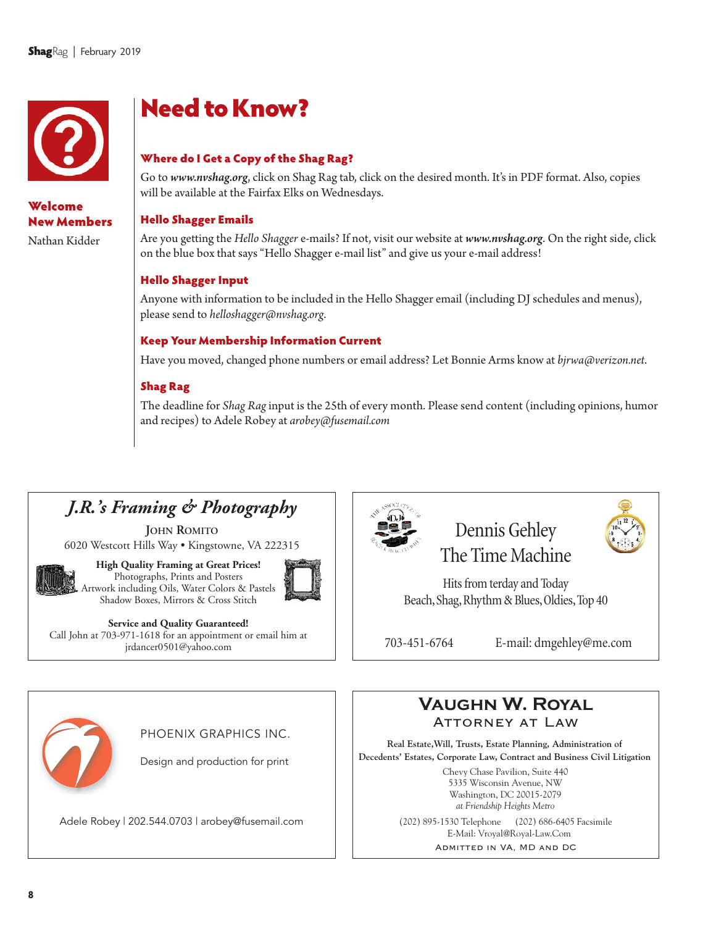

### Welcome New Members

Nathan Kidder

# Need to Know?

#### Where do I Get a Copy of the Shag Rag?

Go to *www.nvshag.org*, click on Shag Rag tab, click on the desired month. It's in PDF format. Also, copies will be available at the Fairfax Elks on Wednesdays.

#### Hello Shagger Emails

Are you getting the *Hello Shagger* e-mails? If not, visit our website at *www.nvshag.org*. On the right side, click on the blue box that says "Hello Shagger e-mail list" and give us your e-mail address!

#### Hello Shagger Input

Anyone with information to be included in the Hello Shagger email (including DJ schedules and menus), please send to *helloshagger@nvshag.org*.

#### Keep Your Membership Information Current

Have you moved, changed phone numbers or email address? Let Bonnie Arms know at *bjrwa@verizon.net*.

#### Shag Rag

The deadline for *Shag Rag*input is the 25th of every month. Please send content (including opinions, humor and recipes) to Adele Robey at *arobey@fusemail.com*

## *J.R.'s Framing & Photography*

**JOHN ROMITO** 6020 Westcott Hills Way • Kingstowne, VA 222315



**High Quality Framing at Great Prices!** Photographs, Prints and Posters Artwork including Oils, Water Colors & Pastels Shadow Boxes, Mirrors & Cross Stitch



**Service and Quality Guaranteed!** Call John at 703-971-1618 for an appointment or email him at jrdancer0501@yahoo.com



# Dennis Gehley The Time Machine

Hits from terday and Today Beach, Shag, Rhythm & Blues, Oldies, Top 40



703-451-6764 E-mail: dmgehley@me.com



PHOENIX GRAPHICS INC.

Design and production for print

Adele Robey | 202.544.0703 | arobey@fusemail.com (202) 895-1530 Telephone (202) 686-6405 Facsimile



**Real Estate,Will, Trusts, Estate Planning, Administration of Decedents' Estates, Corporate Law, Contract and Business Civil Litigation**

> Chevy Chase Pavilion, Suite 440 5335 Wisconsin Avenue, NW Washington, DC 20015-2079 *at Friendship Heights Metro*

E-Mail: Vroyal@Royal-Law.Com

Admitted in VA, MD and DC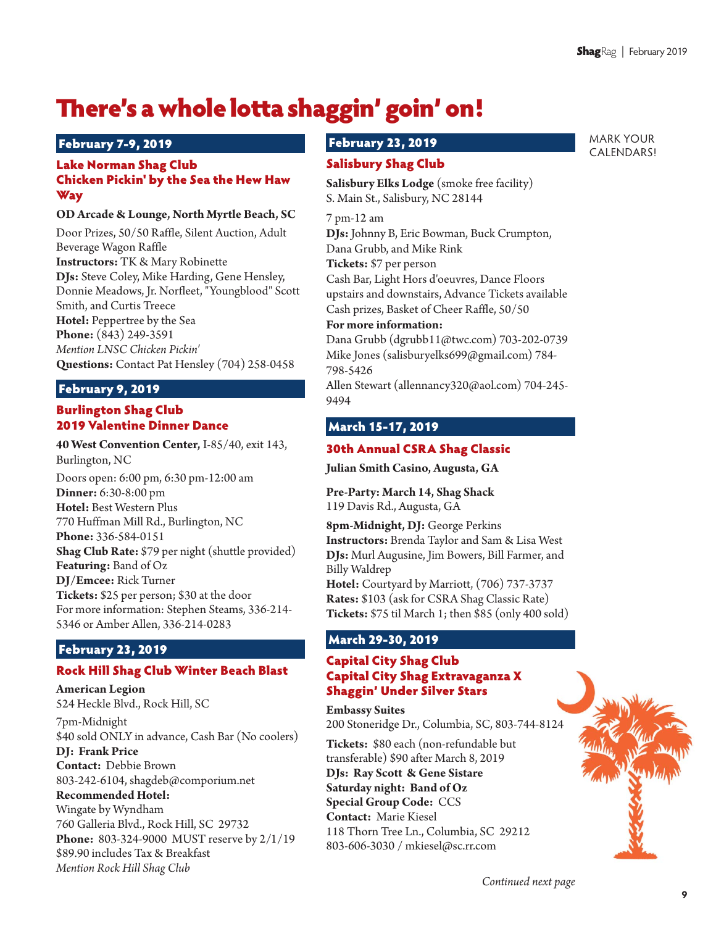MARK YOUR CALENDARS!

# There's a whole lotta shaggin' goin' on!

#### February 7-9, 2019

#### Lake Norman Shag Club Chicken Pickin' by the Sea the Hew Haw Way

#### **OD Arcade & Lounge, North Myrtle Beach, SC**

Door Prizes, 50/50 Raffle, Silent Auction, Adult Beverage Wagon Raffle **Instructors:** TK & Mary Robinette **DJs:** Steve Coley, Mike Harding, Gene Hensley, Donnie Meadows, Jr. Norfleet, "Youngblood" Scott Smith, and Curtis Treece **Hotel:** Peppertree by the Sea **Phone:** (843) 249-3591 *Mention LNSC Chicken Pickin'* **Questions:** Contact Pat Hensley (704) 258-0458

#### February 9, 2019

#### Burlington Shag Club 2019 Valentine Dinner Dance

**40 West Convention Center,** I-85/40, exit 143, Burlington, NC

Doors open: 6:00 pm, 6:30 pm-12:00 am **Dinner:** 6:30-8:00 pm **Hotel:** Best Western Plus 770 Huffman Mill Rd., Burlington, NC **Phone:** 336-584-0151 **Shag Club Rate:** \$79 per night (shuttle provided) **Featuring:** Band of Oz **DJ/Emcee:** Rick Turner **Tickets:** \$25 per person; \$30 at the door For more information: Stephen Steams, 336-214- 5346 or Amber Allen, 336-214-0283

#### February 23, 2019

#### Rock Hill Shag Club Winter Beach Blast

**American Legion** 524 Heckle Blvd., Rock Hill, SC

7pm-Midnight \$40 sold ONLY in advance, Cash Bar (No coolers)

**DJ: Frank Price Contact:**  Debbie Brown 803-242-6104, shagdeb@comporium.net

#### **Recommended Hotel:**

Wingate by Wyndham 760 Galleria Blvd., Rock Hill, SC 29732 **Phone:**  803-324-9000 MUST reserve by 2/1/19 \$89.90 includes Tax & Breakfast *Mention Rock Hill Shag Club*

#### February 23, 2019

#### Salisbury Shag Club

**Salisbury Elks Lodge** (smoke free facility) S. Main St., Salisbury, NC 28144

7 pm-12 am

9494

**DJs:** Johnny B, Eric Bowman, Buck Crumpton, Dana Grubb, and Mike Rink **Tickets:** \$7 per person Cash Bar, Light Hors d'oeuvres, Dance Floors upstairs and downstairs, Advance Tickets available Cash prizes, Basket of Cheer Raffle, 50/50

#### **For more information:**

Dana Grubb (dgrubb11@twc.com) 703-202-0739 Mike Jones (salisburyelks699@gmail.com) 784- 798-5426 Allen Stewart (allennancy320@aol.com) 704-245-

### March 15-17, 2019

#### 30th Annual CSRA Shag Classic

**Julian Smith Casino, Augusta, GA**

**Pre-Party: March 14, Shag Shack** 119 Davis Rd., Augusta, GA

**8pm-Midnight, DJ:** George Perkins **Instructors:** Brenda Taylor and Sam & Lisa West **DJs:** Murl Augusine, Jim Bowers, Bill Farmer, and Billy Waldrep **Hotel:** Courtyard by Marriott, (706) 737-3737 **Rates:** \$103 (ask for CSRA Shag Classic Rate) **Tickets:** \$75 til March 1; then \$85 (only 400 sold)

#### March 29-30, 2019

#### Capital City Shag Club Capital City Shag Extravaganza X Shaggin' Under Silver Stars

**Embassy Suites** 200 Stoneridge Dr., Columbia, SC, 803-744-8124

**Tickets:** \$80 each (non-refundable but transferable) \$90 after March 8, 2019 **DJs: Ray Scott & Gene Sistare Saturday night: Band of Oz Special Group Code:**  CCS **Contact:** Marie Kiesel 118 Thorn Tree Ln., Columbia, SC 29212 803-606-3030 / mkiesel@sc.rr.com

*Continued next page*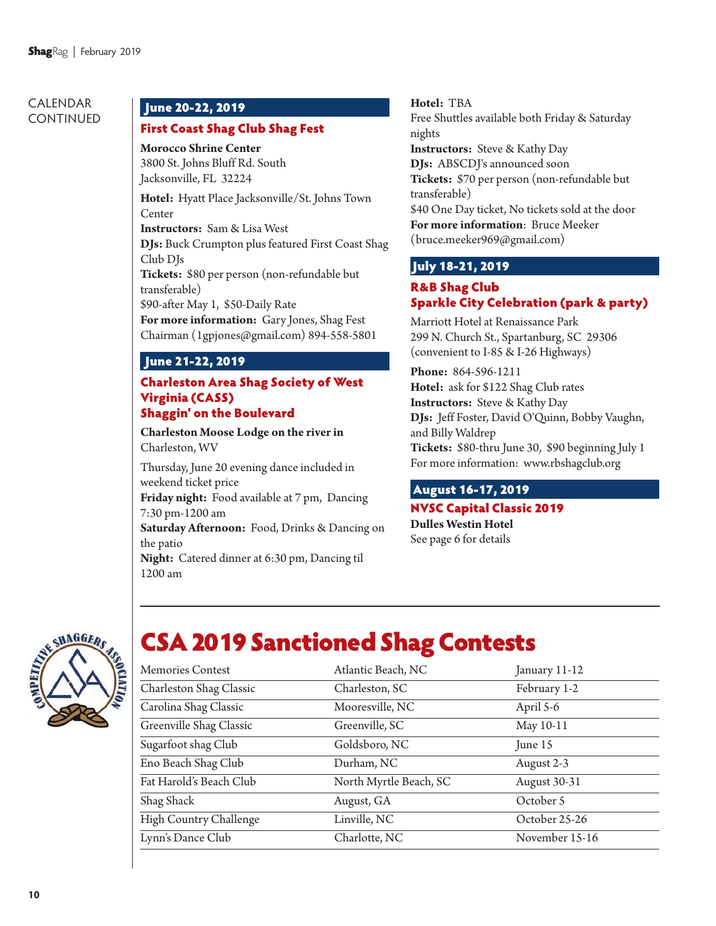#### CALENDAR CONTINUED

#### June 20-22, 2019

#### First Coast Shag Club Shag Fest

**Morocco Shrine Center** 3800 St. Johns Bluff Rd. South Jacksonville, FL 32224

**Hotel:** Hyatt Place Jacksonville/St. Johns Town Center

**Instructors:** Sam & Lisa West

**DJs:** Buck Crumpton plus featured First Coast Shag Club DJs

**Tickets:** \$80 per person (non-refundable but transferable)

\$90-after May 1, \$50-Daily Rate

**For more information:** Gary Jones, Shag Fest Chairman (1gpjones@gmail.com) 894-558-5801

#### June 21-22, 2019

#### Charleston Area Shag Society of West Virginia (CASS) Shaggin' on the Boulevard

**Charleston Moose Lodge on the river in** Charleston, WV

Thursday, June 20 evening dance included in weekend ticket price

**Friday night:** Food available at 7 pm, Dancing 7:30 pm-1200 am

**Saturday Afternoon:** Food, Drinks & Dancing on the patio

**Night:** Catered dinner at 6:30 pm, Dancing til 1200 am

**Hotel:** TBA Free Shuttles available both Friday & Saturday nights **Instructors:** Steve & Kathy Day **DJs:** ABSCDJ's announced soon **Tickets:** \$70 per person (non-refundable but transferable) \$40 One Day ticket, No tickets sold at the door **For more information**: Bruce Meeker (bruce.meeker969@gmail.com)

### July 18-21, 2019

#### R&B Shag Club Sparkle City Celebration (park & party)

Marriott Hotel at Renaissance Park 299 N. Church St., Spartanburg, SC 29306 (convenient to I-85 & I-26 Highways)

**Phone:** 864-596-1211 **Hotel:** ask for \$122 Shag Club rates **Instructors:** Steve & Kathy Day **DJs:** Jeff Foster, David O'Quinn, Bobby Vaughn, and Billy Waldrep **Tickets:** \$80-thru June 30, \$90 beginning July 1 For more information: www.rbshagclub.org

### August 16-17, 2019

#### NVSC Capital Classic 2019 **Dulles Westin Hotel** See page 6 for details



# CSA 2019 Sanctioned Shag Contests

| Memories Contest        | Atlantic Beach, NC     | January 11-12  |
|-------------------------|------------------------|----------------|
| Charleston Shag Classic | Charleston, SC         | February 1-2   |
| Carolina Shag Classic   | Mooresville, NC        | April 5-6      |
| Greenville Shag Classic | Greenville, SC         | May 10-11      |
| Sugarfoot shag Club     | Goldsboro, NC          | June 15        |
| Eno Beach Shag Club     | Durham, NC             | August 2-3     |
| Fat Harold's Beach Club | North Myrtle Beach, SC | August 30-31   |
| Shag Shack              | August, GA             | October 5      |
| High Country Challenge  | Linville, NC           | October 25-26  |
| Lynn's Dance Club       | Charlotte, NC          | November 15-16 |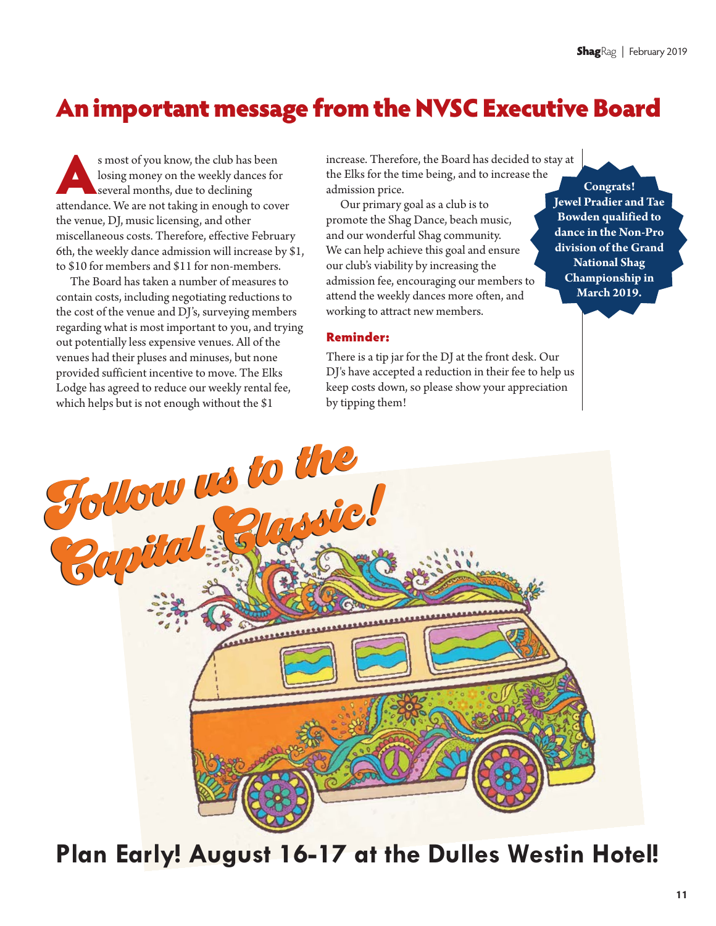# An important message from the NVSC Executive Board

s most of you know, the club has been losing money on the weekly dances for several months, due to declining attendance. We are not taking in enough to cover the venue, DJ, music licensing, and other miscellaneous costs. Therefore, effective February 6th, the weekly dance admission will increase by \$1, to \$10 for members and \$11 for non-members.

The Board has taken a number of measures to contain costs, including negotiating reductions to the cost of the venue and DJ's, surveying members regarding what is most important to you, and trying out potentially less expensive venues. All of the venues had their pluses and minuses, but none provided sufficient incentive to move. The Elks Lodge has agreed to reduce our weekly rental fee, which helps but is not enough without the \$1

increase. Therefore, the Board has decided to stay at the Elks for the time being, and to increase the admission price.

Our primary goal as a club is to promote the Shag Dance, beach music, and our wonderful Shag community. We can help achieve this goal and ensure our club's viability by increasing the admission fee, encouraging our members to attend the weekly dances more often, and working to attract new members.

**Congrats!**

**Jewel Pradier and Tae Bowden qualified to dance in the Non-Pro division of the Grand National Shag Championship in March 2019.**

#### Reminder:

There is a tip jar for the DJ at the front desk. Our DJ's have accepted a reduction in their fee to help us keep costs down, so please show your appreciation by tipping them!



**Plan Early! August 16-17 at the Dulles Westin Hotel!**